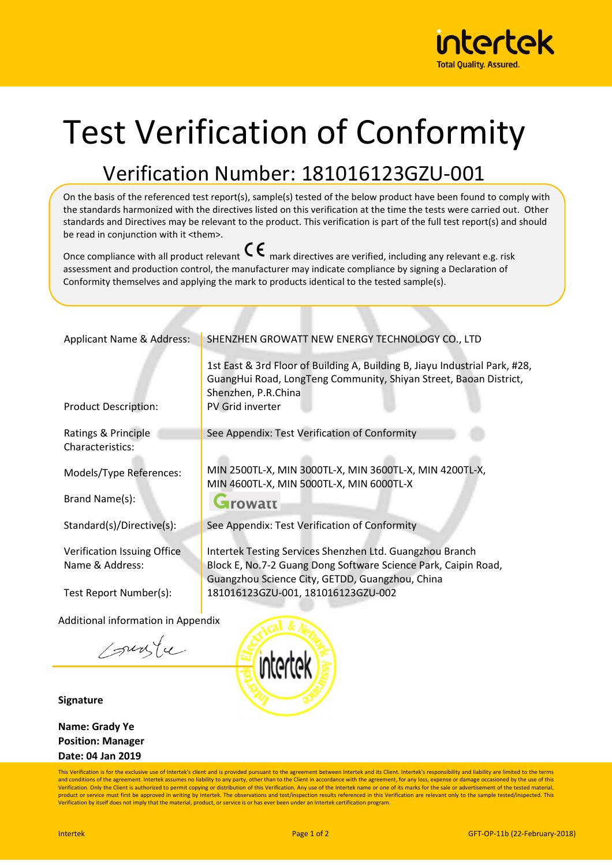

## Test Verification of Conformity

## Verification Number: 181016123GZU-001

On the basis of the referenced test report(s), sample(s) tested of the below product have been found to comply with the standards harmonized with the directives listed on this verification at the time the tests were carried out. Other standards and Directives may be relevant to the product. This verification is part of the full test report(s) and should be read in conjunction with it <them>.

Once compliance with all product relevant  $\mathsf{C}\boldsymbol{\epsilon}$  mark directives are verified, including any relevant e.g. risk assessment and production control, the manufacturer may indicate compliance by signing a Declaration of Conformity themselves and applying the mark to products identical to the tested sample(s).

| Applicant Name & Address:                 | SHENZHEN GROWATT NEW ENERGY TECHNOLOGY CO., LTD                                                                                                                                             |
|-------------------------------------------|---------------------------------------------------------------------------------------------------------------------------------------------------------------------------------------------|
| <b>Product Description:</b>               | 1st East & 3rd Floor of Building A, Building B, Jiayu Industrial Park, #28,<br>GuangHui Road, LongTeng Community, Shiyan Street, Baoan District,<br>Shenzhen, P.R.China<br>PV Grid inverter |
|                                           |                                                                                                                                                                                             |
| Ratings & Principle<br>Characteristics:   | See Appendix: Test Verification of Conformity                                                                                                                                               |
|                                           |                                                                                                                                                                                             |
| Models/Type References:                   | MIN 2500TL-X, MIN 3000TL-X, MIN 3600TL-X, MIN 4200TL-X,                                                                                                                                     |
|                                           | MIN 4600TL-X, MIN 5000TL-X, MIN 6000TL-X                                                                                                                                                    |
| Brand Name(s):                            | <b>Arowatt</b>                                                                                                                                                                              |
| Standard(s)/Directive(s):                 | See Appendix: Test Verification of Conformity                                                                                                                                               |
|                                           |                                                                                                                                                                                             |
| Verification Issuing Office               | Intertek Testing Services Shenzhen Ltd. Guangzhou Branch                                                                                                                                    |
| Name & Address:                           | Block E, No.7-2 Guang Dong Software Science Park, Caipin Road,<br>Guangzhou Science City, GETDD, Guangzhou, China                                                                           |
| Test Report Number(s):                    | 181016123GZU-001, 181016123GZU-002                                                                                                                                                          |
|                                           |                                                                                                                                                                                             |
| <b>Additional information in Appendix</b> |                                                                                                                                                                                             |
|                                           |                                                                                                                                                                                             |

sungle

**Signature** 

**Name: Grady Ye Position: Manager Date: 04 Jan 2019**



This Verification is for the exclusive use of Intertek's client and is provided pursuant to the agreement between Intertek and its Client. Intertek's responsibility and liability are limited to the terms and conditions of the agreement. Intertek assumes no liability to any party, other than to the Client in accordance with the agreement, for any loss, expense or damage occasioned by the use of this<br>Verification. Only the C product or service must first be approved in writing by Intertek. The observations and test/inspection results referenced in this Verification are relevant only to the sample tested/inspected. This<br>Verification by itself d